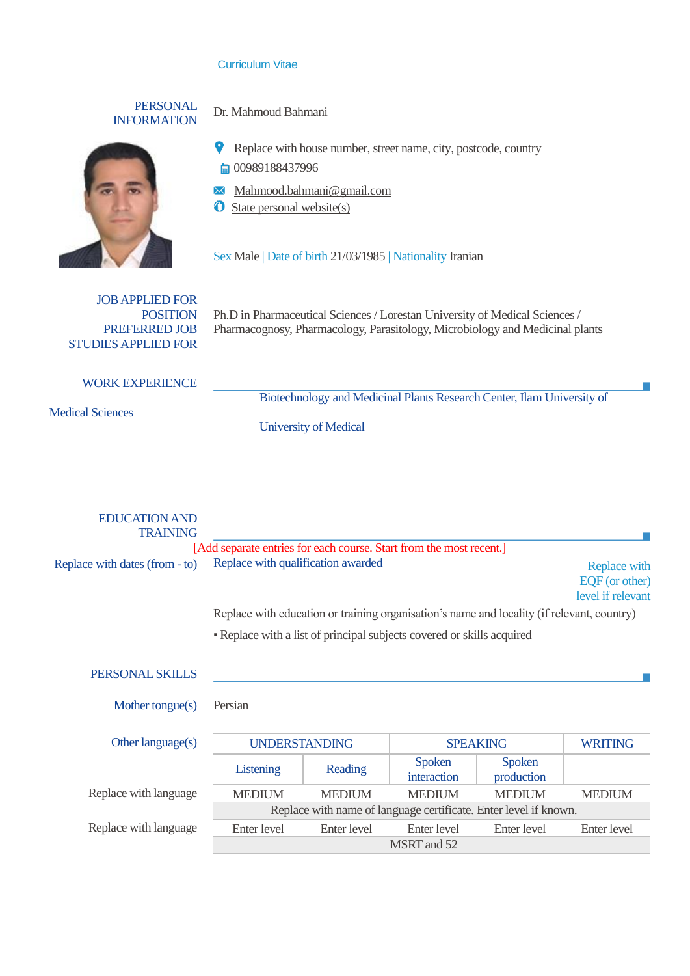## Curriculum Vitae

PERSONAL INFORMATION

## Dr. Mahmoud Bahmani



Replace with house number, street name, city, postcode, country

■ 00989188437996

- Mahmood.bahmani@gmail.com
- **O** State personal website(s)

Sex Male | Date of birth 21/03/1985 | Nationality Iranian

JOB APPLIED FOR POSITION PREFERRED JOB STUDIES APPLIED FOR

Ph.D in Pharmaceutical Sciences/ Lorestan University of Medical Sciences/ Pharmacognosy, Pharmacology, Parasitology, Microbiology and Medicinal plants

| <b>WORK EXPERIENCE</b>  |                                                                        |
|-------------------------|------------------------------------------------------------------------|
|                         | Biotechnology and Medicinal Plants Research Center, Ilam University of |
| <b>Medical Sciences</b> |                                                                        |
|                         | University of Medical                                                  |
|                         |                                                                        |

| <b>EDUCATION AND</b><br><b>TRAINING</b> |                                                                                            |               |                              |                                                     |                |  |
|-----------------------------------------|--------------------------------------------------------------------------------------------|---------------|------------------------------|-----------------------------------------------------|----------------|--|
|                                         | [Add separate entries for each course. Start from the most recent.]                        |               |                              |                                                     |                |  |
| Replace with dates (from - to)          | Replace with qualification awarded                                                         |               |                              | Replace with<br>EQF (or other)<br>level if relevant |                |  |
|                                         | Replace with education or training organisation's name and locality (if relevant, country) |               |                              |                                                     |                |  |
|                                         | • Replace with a list of principal subjects covered or skills acquired                     |               |                              |                                                     |                |  |
| PERSONAL SKILLS                         |                                                                                            |               |                              |                                                     |                |  |
| Mother tongue(s)                        | Persian                                                                                    |               |                              |                                                     |                |  |
| Other language(s)                       | <b>UNDERSTANDING</b>                                                                       |               | <b>SPEAKING</b>              |                                                     | <b>WRITING</b> |  |
|                                         | Listening                                                                                  | Reading       | <b>Spoken</b><br>interaction | <b>Spoken</b><br>production                         |                |  |
| Replace with language                   | <b>MEDIUM</b>                                                                              | <b>MEDIUM</b> | <b>MEDIUM</b>                | <b>MEDIUM</b>                                       | <b>MEDIUM</b>  |  |
|                                         | Replace with name of language certificate. Enter level if known.                           |               |                              |                                                     |                |  |
| Replace with language                   | Enter level                                                                                | Enter level   | Enter level                  | Enter level                                         | Enter level    |  |
|                                         |                                                                                            |               | MSRT and 52                  |                                                     |                |  |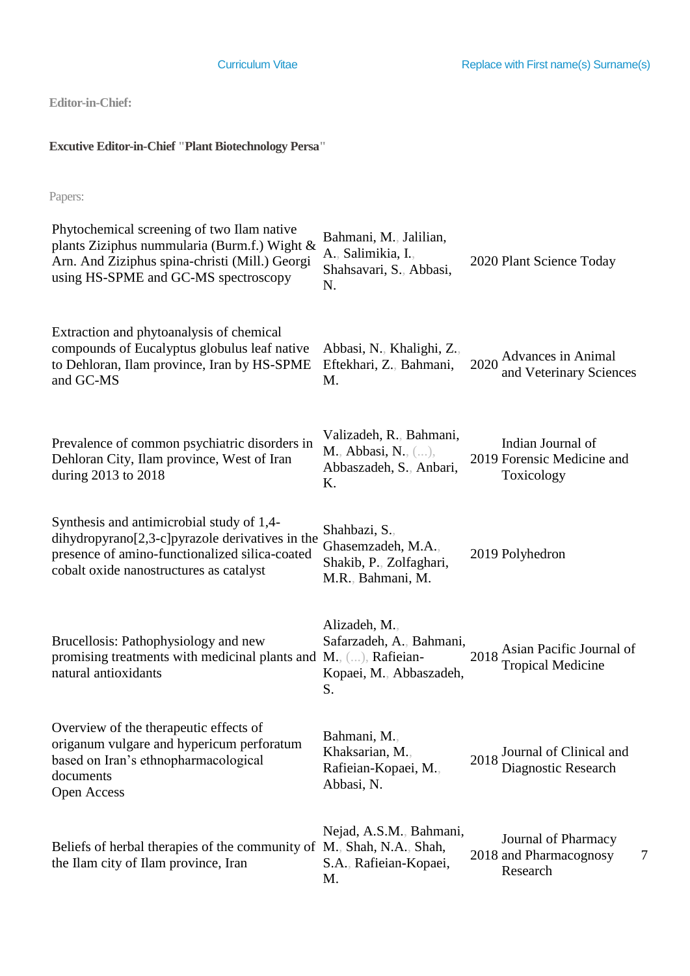**Editor-in-Chief:**

**Excutive Editor-in-Chief "Plant Biotechnology Persa"**

## Papers:

| Phytochemical screening of two Ilam native<br>plants Ziziphus nummularia (Burm.f.) Wight &<br>Arn. And Ziziphus spina-christi (Mill.) Georgi<br>using HS-SPME and GC-MS spectroscopy             | Bahmani, M., Jalilian,<br>A., Salimikia, I.,<br>Shahsavari, S., Abbasi,<br>N.       | 2020 Plant Science Today                                      |   |
|--------------------------------------------------------------------------------------------------------------------------------------------------------------------------------------------------|-------------------------------------------------------------------------------------|---------------------------------------------------------------|---|
| Extraction and phytoanalysis of chemical<br>compounds of Eucalyptus globulus leaf native<br>to Dehloran, Ilam province, Iran by HS-SPME<br>and GC-MS                                             | Abbasi, N., Khalighi, Z.,<br>Eftekhari, Z., Bahmani,<br>M.                          | 2020 Advances in Animal<br>and Veterinary Sciences            |   |
| Prevalence of common psychiatric disorders in<br>Dehloran City, Ilam province, West of Iran<br>during 2013 to 2018                                                                               | Valizadeh, R., Bahmani,<br>M., Abbasi, N., (),<br>Abbaszadeh, S., Anbari,<br>K.     | Indian Journal of<br>2019 Forensic Medicine and<br>Toxicology |   |
| Synthesis and antimicrobial study of 1,4-<br>$di$ hydropyrano $[2,3-c]$ pyrazole derivatives in the<br>presence of amino-functionalized silica-coated<br>cobalt oxide nanostructures as catalyst | Shahbazi, S.,<br>Ghasemzadeh, M.A.,<br>Shakib, P., Zolfaghari,<br>M.R., Bahmani, M. | 2019 Polyhedron                                               |   |
| Brucellosis: Pathophysiology and new<br>promising treatments with medicinal plants and M., (), Rafieian-<br>natural antioxidants                                                                 | Alizadeh, M.,<br>Safarzadeh, A., Bahmani,<br>Kopaei, M., Abbaszadeh,<br>S.          | 2018 Asian Pacific Journal of<br><b>Tropical Medicine</b>     |   |
| Overview of the therapeutic effects of<br>origanum vulgare and hypericum perforatum<br>based on Iran's ethnopharmacological<br>documents<br>Open Access                                          | Bahmani, M.,<br>Khaksarian, M.,<br>Rafieian-Kopaei, M.,<br>Abbasi, N.               | 2018 Journal of Clinical and<br>Diagnostic Research           |   |
| Beliefs of herbal therapies of the community of M., Shah, N.A., Shah,<br>the Ilam city of Ilam province, Iran                                                                                    | Nejad, A.S.M., Bahmani,<br>S.A., Rafieian-Kopaei,<br>M.                             | Journal of Pharmacy<br>2018 and Pharmacognosy<br>Research     | 7 |